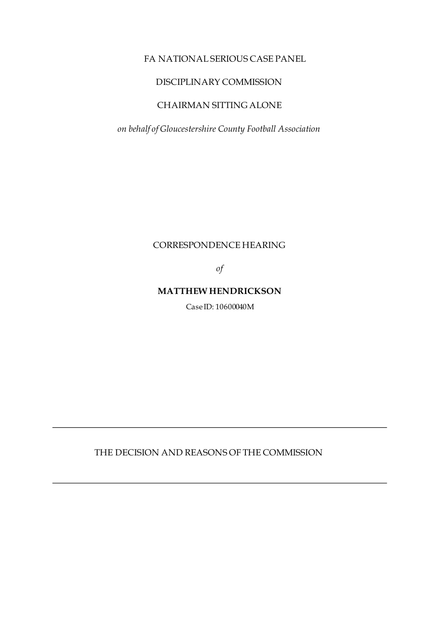#### FA NATIONAL SERIOUS CASE PANEL

#### DISCIPLINARY COMMISSION

## CHAIRMAN SITTING ALONE

*on behalf of Gloucestershire County Football Association* 

#### CORRESPONDENCE HEARING

*of* 

#### **MATTHEW HENDRICKSON**

Case ID: 10600040M

THE DECISION AND REASONS OF THE COMMISSION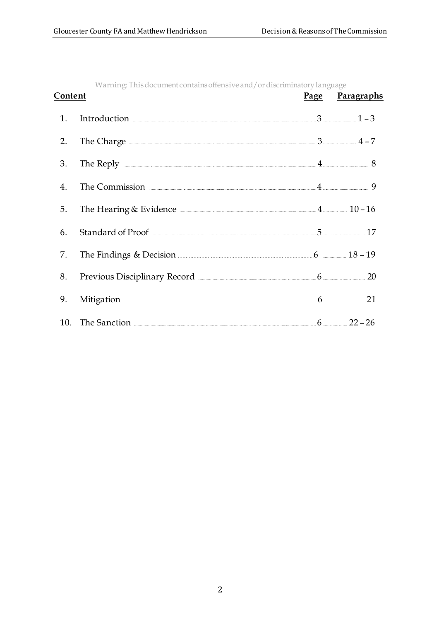| Content |                                                                                                                                                                                                                                                                                                                                                                                                                                                                                         | Page Paragraphs |
|---------|-----------------------------------------------------------------------------------------------------------------------------------------------------------------------------------------------------------------------------------------------------------------------------------------------------------------------------------------------------------------------------------------------------------------------------------------------------------------------------------------|-----------------|
| 1.      | Introduction $1 - 3$                                                                                                                                                                                                                                                                                                                                                                                                                                                                    |                 |
| 2.      | The Charge $\frac{1}{4} - 7$                                                                                                                                                                                                                                                                                                                                                                                                                                                            |                 |
| 3.      | The Reply $\frac{1}{3}$ 8                                                                                                                                                                                                                                                                                                                                                                                                                                                               |                 |
| 4.      | The Commission <b>Exercía and Service Commission</b> 9                                                                                                                                                                                                                                                                                                                                                                                                                                  |                 |
| 5.      |                                                                                                                                                                                                                                                                                                                                                                                                                                                                                         |                 |
| 6.      |                                                                                                                                                                                                                                                                                                                                                                                                                                                                                         |                 |
| 7.      | The Findings & Decision <b>Manual</b> 2021 - 2021 - 2021 - 2021 - 2021 - 2021 - 2021 - 2021 - 2021 - 2021 - 2021 - 2021 - 2021 - 2021 - 2021 - 2021 - 2021 - 2021 - 2021 - 2021 - 2021 - 2021 - 2021 - 2021 - 2021 - 2021 - 2021 -                                                                                                                                                                                                                                                      |                 |
| 8.      | Previous Disciplinary Record <b>Election</b> 20                                                                                                                                                                                                                                                                                                                                                                                                                                         |                 |
| 9.      | $Mittgation \begin{minipage}{14cm} \begin{minipage}{0.5cm} \begin{tabular}{cc} \multicolumn{3}{c}{} & \multicolumn{3}{c}{} & \multicolumn{3}{c}{} \\ \multicolumn{3}{c}{} & \multicolumn{3}{c}{} & \multicolumn{3}{c}{} \\ \multicolumn{3}{c}{} & \multicolumn{3}{c}{} & \multicolumn{3}{c}{} \\ \multicolumn{3}{c}{} & \multicolumn{3}{c}{} & \multicolumn{3}{c}{} \\ \multicolumn{3}{c}{} & \multicolumn{3}{c}{} & \multicolumn{3}{c}{} \\ \multicolumn{3}{c}{} & \multicolumn{3}{c}$ |                 |
|         |                                                                                                                                                                                                                                                                                                                                                                                                                                                                                         |                 |

Warning: This document contains offensive and/or discriminatory language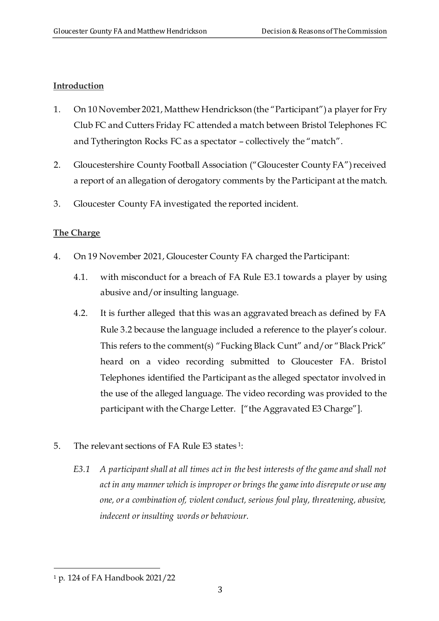# **Introduction**

- 1. On 10 November 2021, Matthew Hendrickson (the "Participant") a player for Fry Club FC and Cutters Friday FC attended a match between Bristol Telephones FC and Tytherington Rocks FC as a spectator – collectively the "match".
- 2. Gloucestershire County Football Association ("Gloucester County FA") received a report of an allegation of derogatory comments by the Participant at the match.
- 3. Gloucester County FA investigated the reported incident.

# **The Charge**

- 4. On 19 November 2021, Gloucester County FA charged the Participant:
	- 4.1. with misconduct for a breach of FA Rule E3.1 towards a player by using abusive and/or insulting language.
	- 4.2. It is further alleged that this was an aggravated breach as defined by FA Rule 3.2 because the language included a reference to the player's colour. This refers to the comment(s) "Fucking Black Cunt" and/or "Black Prick" heard on a video recording submitted to Gloucester FA. Bristol Telephones identified the Participant as the alleged spectator involved in the use of the alleged language. The video recording was provided to the participant with the Charge Letter. ["the Aggravated E3 Charge"].
- 5. The relevant sections of FA Rule E3 states<sup>1</sup>:
	- *E3.1 A participant shall at all times act in the best interests of the game and shall not act in any manner which is improper or brings the game into disrepute or use any one, or a combination of, violent conduct, serious foul play, threatening, abusive, indecent or insulting words or behaviour.*

<sup>1</sup> p. 124 of FA Handbook 2021/22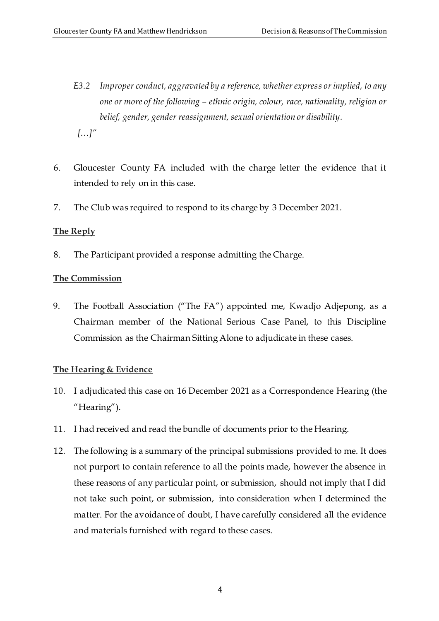- *E3.2 Improper conduct, aggravated by a reference, whether express or implied, to any one or more of the following – ethnic origin, colour, race, nationality, religion or belief, gender, gender reassignment, sexual orientation or disability. […]"*
- 6. Gloucester County FA included with the charge letter the evidence that it intended to rely on in this case.
- 7. The Club was required to respond to its charge by 3 December 2021.

# **The Reply**

8. The Participant provided a response admitting the Charge.

# **The Commission**

9. The Football Association ("The FA") appointed me, Kwadjo Adjepong, as a Chairman member of the National Serious Case Panel, to this Discipline Commission as the Chairman Sitting Alone to adjudicate in these cases.

# **The Hearing & Evidence**

- 10. I adjudicated this case on 16 December 2021 as a Correspondence Hearing (the "Hearing").
- 11. I had received and read the bundle of documents prior to the Hearing.
- 12. The following is a summary of the principal submissions provided to me. It does not purport to contain reference to all the points made, however the absence in these reasons of any particular point, or submission, should not imply that I did not take such point, or submission, into consideration when I determined the matter. For the avoidance of doubt, I have carefully considered all the evidence and materials furnished with regard to these cases.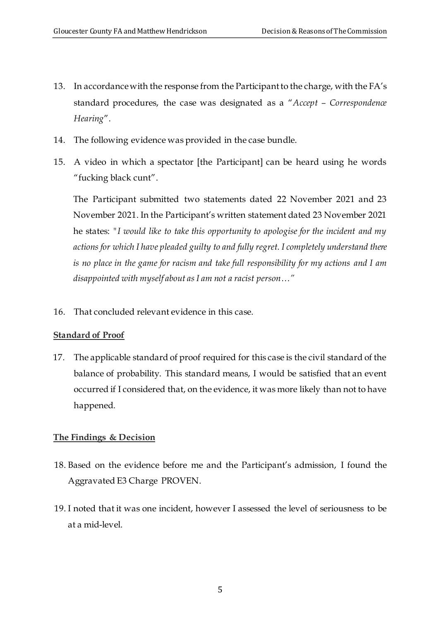- 13. In accordance with the response from the Participantto the charge, with the FA's standard procedures, the case was designated as a "*Accept – Correspondence Hearing*".
- 14. The following evidence was provided in the case bundle.
- 15. A video in which a spectator [the Participant] can be heard using he words "fucking black cunt".

The Participant submitted two statements dated 22 November 2021 and 23 November 2021. In the Participant's written statement dated 23 November 2021 he states: *"I would like to take this opportunity to apologise for the incident and my actions for which I have pleaded guilty to and fully regret. I completely understand there is no place in the game for racism and take full responsibility for my actions and I am disappointed with myself about as I am not a racist person…"*

16. That concluded relevant evidence in this case.

# **Standard of Proof**

17. The applicable standard of proof required for this case is the civil standard of the balance of probability. This standard means, I would be satisfied that an event occurred if I considered that, on the evidence, it was more likely than not to have happened*.*

# **The Findings & Decision**

- 18. Based on the evidence before me and the Participant's admission, I found the Aggravated E3 Charge PROVEN.
- 19. I noted that it was one incident, however I assessed the level of seriousness to be at a mid-level.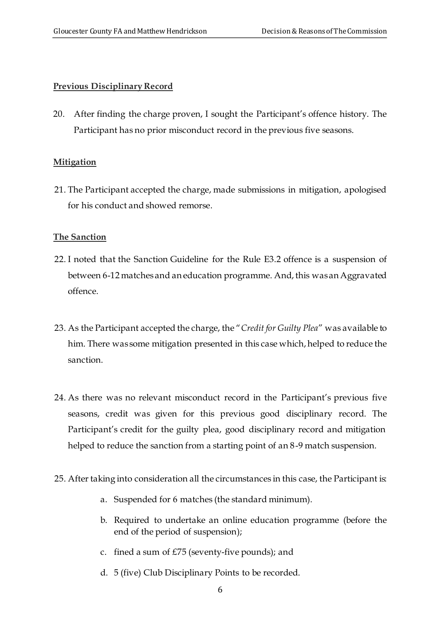## **Previous Disciplinary Record**

20. After finding the charge proven, I sought the Participant's offence history. The Participant has no prior misconduct record in the previous five seasons.

## **Mitigation**

21. The Participant accepted the charge, made submissions in mitigation, apologised for his conduct and showed remorse.

## **The Sanction**

- 22. I noted that the Sanction Guideline for the Rule E3.2 offence is a suspension of between 6-12 matchesand an education programme. And, this was an Aggravated offence.
- 23. As the Participant accepted the charge, the "*Credit for Guilty Plea*" was available to him. There was some mitigation presented in this case which, helped to reduce the sanction.
- 24. As there was no relevant misconduct record in the Participant's previous five seasons, credit was given for this previous good disciplinary record. The Participant's credit for the guilty plea, good disciplinary record and mitigation helped to reduce the sanction from a starting point of an 8-9 match suspension.
- 25. After taking into consideration all the circumstances in this case, the Participant is:
	- a. Suspended for 6 matches (the standard minimum).
	- b. Required to undertake an online education programme (before the end of the period of suspension);
	- c. fined a sum of £75 (seventy-five pounds); and
	- d. 5 (five) Club Disciplinary Points to be recorded.